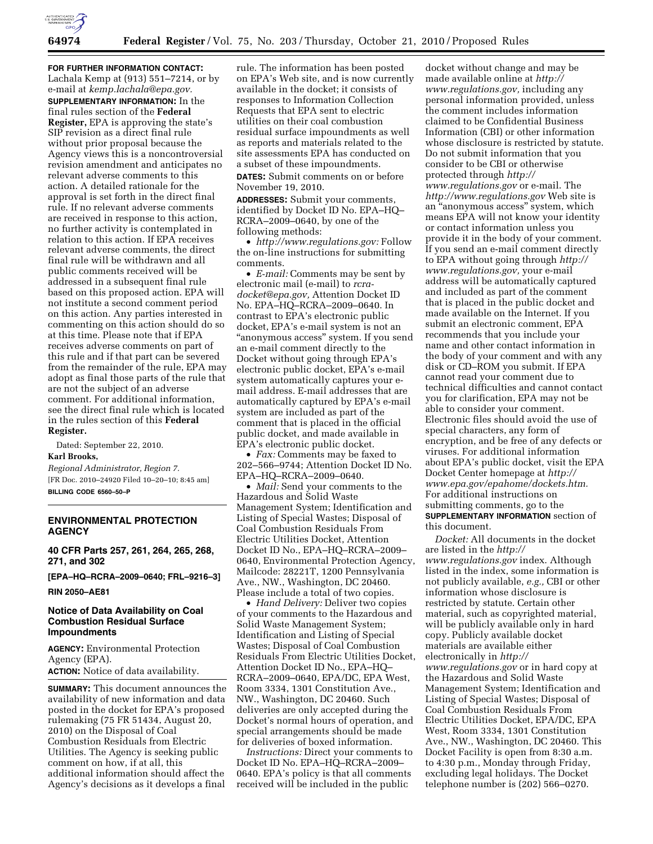

**FOR FURTHER INFORMATION CONTACT:** 

Lachala Kemp at (913) 551–7214, or by e-mail at *[kemp.lachala@epa.gov.](mailto:kemp.lachala@epa.gov)*  **SUPPLEMENTARY INFORMATION:** In the final rules section of the **Federal Register,** EPA is approving the state's SIP revision as a direct final rule without prior proposal because the Agency views this is a noncontroversial revision amendment and anticipates no relevant adverse comments to this action. A detailed rationale for the approval is set forth in the direct final rule. If no relevant adverse comments are received in response to this action, no further activity is contemplated in relation to this action. If EPA receives relevant adverse comments, the direct final rule will be withdrawn and all public comments received will be addressed in a subsequent final rule based on this proposed action. EPA will not institute a second comment period on this action. Any parties interested in commenting on this action should do so at this time. Please note that if EPA receives adverse comments on part of this rule and if that part can be severed from the remainder of the rule, EPA may adopt as final those parts of the rule that are not the subject of an adverse comment. For additional information, see the direct final rule which is located in the rules section of this **Federal Register.** 

Dated: September 22, 2010. **Karl Brooks,** 

*Regional Administrator, Region 7.*  [FR Doc. 2010–24920 Filed 10–20–10; 8:45 am] **BILLING CODE 6560–50–P** 

# **ENVIRONMENTAL PROTECTION AGENCY**

**40 CFR Parts 257, 261, 264, 265, 268, 271, and 302** 

**[EPA–HQ–RCRA–2009–0640; FRL–9216–3]** 

**RIN 2050–AE81** 

# **Notice of Data Availability on Coal Combustion Residual Surface Impoundments**

**AGENCY:** Environmental Protection Agency (EPA). **ACTION:** Notice of data availability.

**SUMMARY:** This document announces the availability of new information and data posted in the docket for EPA's proposed rulemaking (75 FR 51434, August 20, 2010) on the Disposal of Coal Combustion Residuals from Electric Utilities. The Agency is seeking public comment on how, if at all, this additional information should affect the Agency's decisions as it develops a final

rule. The information has been posted on EPA's Web site, and is now currently available in the docket; it consists of responses to Information Collection Requests that EPA sent to electric utilities on their coal combustion residual surface impoundments as well as reports and materials related to the site assessments EPA has conducted on a subset of these impoundments.

**DATES:** Submit comments on or before November 19, 2010.

**ADDRESSES:** Submit your comments, identified by Docket ID No. EPA–HQ– RCRA–2009–0640, by one of the following methods:

• *[http://www.regulations.gov:](http://www.regulations.gov)* Follow the on-line instructions for submitting comments.

• *E-mail:* Comments may be sent by electronic mail (e-mail) to *[rcra](mailto:rcra-docket@epa.gov)[docket@epa.gov,](mailto:rcra-docket@epa.gov)* Attention Docket ID No. EPA–HQ–RCRA–2009–0640. In contrast to EPA's electronic public docket, EPA's e-mail system is not an "anonymous access" system. If you send an e-mail comment directly to the Docket without going through EPA's electronic public docket, EPA's e-mail system automatically captures your email address. E-mail addresses that are automatically captured by EPA's e-mail system are included as part of the comment that is placed in the official public docket, and made available in EPA's electronic public docket.

• *Fax:* Comments may be faxed to 202–566–9744; Attention Docket ID No. EPA–HQ–RCRA–2009–0640.

• *Mail:* Send your comments to the Hazardous and Solid Waste Management System; Identification and Listing of Special Wastes; Disposal of Coal Combustion Residuals From Electric Utilities Docket, Attention Docket ID No., EPA–HQ–RCRA–2009– 0640, Environmental Protection Agency, Mailcode: 28221T, 1200 Pennsylvania Ave., NW., Washington, DC 20460. Please include a total of two copies.

• *Hand Delivery:* Deliver two copies of your comments to the Hazardous and Solid Waste Management System; Identification and Listing of Special Wastes; Disposal of Coal Combustion Residuals From Electric Utilities Docket, Attention Docket ID No., EPA–HQ– RCRA–2009–0640, EPA/DC, EPA West, Room 3334, 1301 Constitution Ave., NW., Washington, DC 20460. Such deliveries are only accepted during the Docket's normal hours of operation, and special arrangements should be made for deliveries of boxed information.

*Instructions:* Direct your comments to Docket ID No. EPA–HQ–RCRA–2009– 0640. EPA's policy is that all comments received will be included in the public

docket without change and may be made available online at *[http://](http://www.regulations.gov)  [www.regulations.gov,](http://www.regulations.gov)* including any personal information provided, unless the comment includes information claimed to be Confidential Business Information (CBI) or other information whose disclosure is restricted by statute. Do not submit information that you consider to be CBI or otherwise protected through *[http://](http://www.regulations.gov)  [www.regulations.gov](http://www.regulations.gov)* or e-mail. The *<http://www.regulations.gov>* Web site is an ''anonymous access'' system, which means EPA will not know your identity or contact information unless you provide it in the body of your comment. If you send an e-mail comment directly to EPA without going through *[http://](http://www.regulations.gov) [www.regulations.gov,](http://www.regulations.gov)* your e-mail address will be automatically captured and included as part of the comment that is placed in the public docket and made available on the Internet. If you submit an electronic comment, EPA recommends that you include your name and other contact information in the body of your comment and with any disk or CD–ROM you submit. If EPA cannot read your comment due to technical difficulties and cannot contact you for clarification, EPA may not be able to consider your comment. Electronic files should avoid the use of special characters, any form of encryption, and be free of any defects or viruses. For additional information about EPA's public docket, visit the EPA Docket Center homepage at *[http://](http://www.epa.gov/epahome/dockets.htm) [www.epa.gov/epahome/dockets.htm.](http://www.epa.gov/epahome/dockets.htm)*  For additional instructions on submitting comments, go to the **SUPPLEMENTARY INFORMATION** section of this document.

*Docket:* All documents in the docket are listed in the *[http://](http://www.regulations.gov) [www.regulations.gov](http://www.regulations.gov)* index. Although listed in the index, some information is not publicly available, *e.g.,* CBI or other information whose disclosure is restricted by statute. Certain other material, such as copyrighted material, will be publicly available only in hard copy. Publicly available docket materials are available either electronically in *[http://](http://www.regulations.gov) [www.regulations.gov](http://www.regulations.gov)* or in hard copy at the Hazardous and Solid Waste Management System; Identification and Listing of Special Wastes; Disposal of Coal Combustion Residuals From Electric Utilities Docket, EPA/DC, EPA West, Room 3334, 1301 Constitution Ave., NW., Washington, DC 20460. This Docket Facility is open from 8:30 a.m. to 4:30 p.m., Monday through Friday, excluding legal holidays. The Docket telephone number is (202) 566–0270.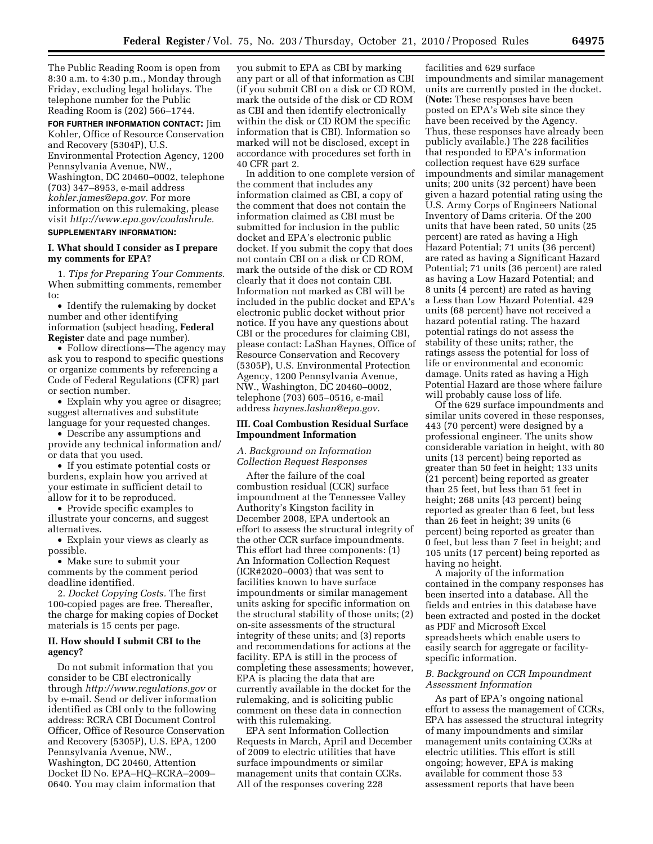The Public Reading Room is open from 8:30 a.m. to 4:30 p.m., Monday through Friday, excluding legal holidays. The telephone number for the Public Reading Room is (202) 566–1744.

**FOR FURTHER INFORMATION CONTACT:** Jim Kohler, Office of Resource Conservation and Recovery (5304P), U.S. Environmental Protection Agency, 1200 Pennsylvania Avenue, NW., Washington, DC 20460–0002, telephone (703) 347–8953, e-mail address *[kohler.james@epa.gov.](mailto:kohler.james@epa.gov)* For more information on this rulemaking, please visit *[http://www.epa.gov/coalashrule.](http://www.epa.gov/coalashrule)*  **SUPPLEMENTARY INFORMATION:** 

#### **I. What should I consider as I prepare my comments for EPA?**

1. *Tips for Preparing Your Comments.*  When submitting comments, remember to:

• Identify the rulemaking by docket number and other identifying information (subject heading, **Federal Register** date and page number).

• Follow directions—The agency may ask you to respond to specific questions or organize comments by referencing a Code of Federal Regulations (CFR) part or section number.

• Explain why you agree or disagree; suggest alternatives and substitute language for your requested changes.

• Describe any assumptions and provide any technical information and/ or data that you used.

• If you estimate potential costs or burdens, explain how you arrived at your estimate in sufficient detail to allow for it to be reproduced.

• Provide specific examples to illustrate your concerns, and suggest alternatives.

• Explain your views as clearly as possible.

• Make sure to submit your comments by the comment period deadline identified.

2. *Docket Copying Costs.* The first 100-copied pages are free. Thereafter, the charge for making copies of Docket materials is 15 cents per page.

#### **II. How should I submit CBI to the agency?**

Do not submit information that you consider to be CBI electronically through *<http://www.regulations.gov>* or by e-mail. Send or deliver information identified as CBI only to the following address: RCRA CBI Document Control Officer, Office of Resource Conservation and Recovery (5305P), U.S. EPA, 1200 Pennsylvania Avenue, NW., Washington, DC 20460, Attention Docket ID No. EPA–HQ–RCRA–2009– 0640. You may claim information that

you submit to EPA as CBI by marking any part or all of that information as CBI (if you submit CBI on a disk or CD ROM, mark the outside of the disk or CD ROM as CBI and then identify electronically within the disk or CD ROM the specific information that is CBI). Information so marked will not be disclosed, except in accordance with procedures set forth in 40 CFR part 2.

In addition to one complete version of the comment that includes any information claimed as CBI, a copy of the comment that does not contain the information claimed as CBI must be submitted for inclusion in the public docket and EPA's electronic public docket. If you submit the copy that does not contain CBI on a disk or CD ROM, mark the outside of the disk or CD ROM clearly that it does not contain CBI. Information not marked as CBI will be included in the public docket and EPA's electronic public docket without prior notice. If you have any questions about CBI or the procedures for claiming CBI, please contact: LaShan Haynes, Office of Resource Conservation and Recovery (5305P), U.S. Environmental Protection Agency, 1200 Pennsylvania Avenue, NW., Washington, DC 20460–0002, telephone (703) 605–0516, e-mail address *[haynes.lashan@epa.gov.](mailto:haynes.lashan@epa.gov)* 

#### **III. Coal Combustion Residual Surface Impoundment Information**

## *A. Background on Information Collection Request Responses*

After the failure of the coal combustion residual (CCR) surface impoundment at the Tennessee Valley Authority's Kingston facility in December 2008, EPA undertook an effort to assess the structural integrity of the other CCR surface impoundments. This effort had three components: (1) An Information Collection Request (ICR#2020–0003) that was sent to facilities known to have surface impoundments or similar management units asking for specific information on the structural stability of those units; (2) on-site assessments of the structural integrity of these units; and (3) reports and recommendations for actions at the facility. EPA is still in the process of completing these assessments; however, EPA is placing the data that are currently available in the docket for the rulemaking, and is soliciting public comment on these data in connection with this rulemaking.

EPA sent Information Collection Requests in March, April and December of 2009 to electric utilities that have surface impoundments or similar management units that contain CCRs. All of the responses covering 228

facilities and 629 surface impoundments and similar management units are currently posted in the docket. (**Note:** These responses have been posted on EPA's Web site since they have been received by the Agency. Thus, these responses have already been publicly available.) The 228 facilities that responded to EPA's information collection request have 629 surface impoundments and similar management units; 200 units (32 percent) have been given a hazard potential rating using the U.S. Army Corps of Engineers National Inventory of Dams criteria. Of the 200 units that have been rated, 50 units (25 percent) are rated as having a High Hazard Potential; 71 units (36 percent) are rated as having a Significant Hazard Potential; 71 units (36 percent) are rated as having a Low Hazard Potential; and 8 units (4 percent) are rated as having a Less than Low Hazard Potential. 429 units (68 percent) have not received a hazard potential rating. The hazard potential ratings do not assess the stability of these units; rather, the ratings assess the potential for loss of life or environmental and economic damage. Units rated as having a High Potential Hazard are those where failure will probably cause loss of life.

Of the 629 surface impoundments and similar units covered in these responses, 443 (70 percent) were designed by a professional engineer. The units show considerable variation in height, with 80 units (13 percent) being reported as greater than 50 feet in height; 133 units (21 percent) being reported as greater than 25 feet, but less than 51 feet in height; 268 units (43 percent) being reported as greater than 6 feet, but less than 26 feet in height; 39 units (6 percent) being reported as greater than 0 feet, but less than 7 feet in height; and 105 units (17 percent) being reported as having no height.

A majority of the information contained in the company responses has been inserted into a database. All the fields and entries in this database have been extracted and posted in the docket as PDF and Microsoft Excel spreadsheets which enable users to easily search for aggregate or facilityspecific information.

#### *B. Background on CCR Impoundment Assessment Information*

As part of EPA's ongoing national effort to assess the management of CCRs, EPA has assessed the structural integrity of many impoundments and similar management units containing CCRs at electric utilities. This effort is still ongoing; however, EPA is making available for comment those 53 assessment reports that have been